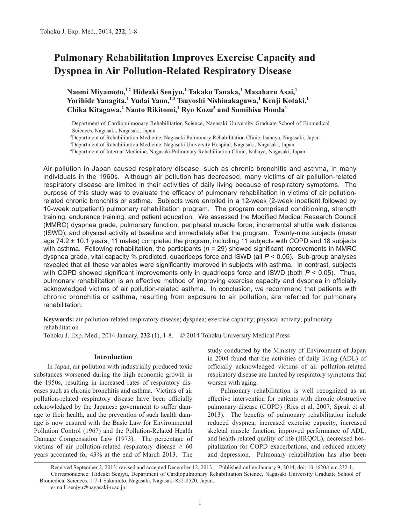# **Pulmonary Rehabilitation Improves Exercise Capacity and Dyspnea in Air Pollution-Related Respiratory Disease**

**Naomi Miyamoto,1,2 Hideaki Senjyu,1 Takako Tanaka,<sup>1</sup> Masaharu Asai,<sup>1</sup> Yorihide Yanagita,<sup>1</sup> Yudai Yano,1,3 Tsuyoshi Nishinakagawa,1 Kenji Kotaki,1 Chika Kitagawa,<sup>2</sup> Naoto Rikitomi,4 Ryo Kozu3 and Sumihisa Honda<sup>1</sup>**

1 Department of Cardiopulmonary Rehabilitation Science, Nagasaki University Graduate School of Biomedical Sciences, Nagasaki, Nagasaki, Japan

2 Department of Rehabilitation Medicine, Nagasaki Pulmonary Rehabilitation Clinic, Isahaya, Nagasaki, Japan

3 Department of Rehabilitation Medicine, Nagasaki University Hospital, Nagasaki, Nagasaki, Japan

4 Department of Internal Medicine, Nagasaki Pulmonary Rehabilitation Clinic, Isahaya, Nagasaki, Japan

Air pollution in Japan caused respiratory disease, such as chronic bronchitis and asthma, in many individuals in the 1960s. Although air pollution has decreased, many victims of air pollution-related respiratory disease are limited in their activities of daily living because of respiratory symptoms. The purpose of this study was to evaluate the efficacy of pulmonary rehabilitation in victims of air pollutionrelated chronic bronchitis or asthma. Subjects were enrolled in a 12-week (2-week inpatient followed by 10-week outpatient) pulmonary rehabilitation program. The program comprised conditioning, strength training, endurance training, and patient education. We assessed the Modified Medical Research Council (MMRC) dyspnea grade, pulmonary function, peripheral muscle force, incremental shuttle walk distance (ISWD), and physical activity at baseline and immediately after the program. Twenty-nine subjects (mean age 74.2 ± 10.1 years, 11 males) completed the program, including 11 subjects with COPD and 18 subjects with asthma. Following rehabilitation, the participants ( $n = 29$ ) showed significant improvements in MMRC dyspnea grade, vital capacity % predicted, quadriceps force and ISWD (all *P* < 0.05). Sub-group analyses revealed that all these variables were significantly improved in subjects with asthma. In contrast, subjects with COPD showed significant improvements only in quadriceps force and ISWD (both *P* < 0.05). Thus, pulmonary rehabilitation is an effective method of improving exercise capacity and dyspnea in officially acknowledged victims of air pollution-related asthma. In conclusion, we recommend that patients with chronic bronchitis or asthma, resulting from exposure to air pollution, are referred for pulmonary rehabilitation.

**Keywords:** air pollution-related respiratory disease; dyspnea; exercise capacity; physical activity; pulmonary rehabilitation

Tohoku J. Exp. Med., 2014 January, **232** (1), 1-8. © 2014 Tohoku University Medical Press

# **Introduction**

In Japan, air pollution with industrially produced toxic substances worsened during the high economic growth in the 1950s, resulting in increased rates of respiratory diseases such as chronic bronchitis and asthma. Victims of air pollution-related respiratory disease have been officially acknowledged by the Japanese government to suffer damage to their health, and the prevention of such health damage is now ensured with the Basic Law for Environmental Pollution Control (1967) and the Pollution-Related Health Damage Compensation Law (1973). The percentage of victims of air pollution-related respiratory disease  $\geq 60$ years accounted for 43% at the end of March 2013. The study conducted by the Ministry of Environment of Japan in 2004 found that the activities of daily living (ADL) of officially acknowledged victims of air pollution-related respiratory disease are limited by respiratory symptoms that worsen with aging.

Pulmonary rehabilitation is well recognized as an effective intervention for patients with chronic obstructive pulmonary disease (COPD) (Ries et al. 2007; Spruit et al. 2013). The benefits of pulmonary rehabilitation include reduced dyspnea, increased exercise capacity, increased skeletal muscle function, improved performance of ADL, and health-related quality of life (HRQOL), decreased hospitalization for COPD exacerbations, and reduced anxiety and depression. Pulmonary rehabilitation has also been

Received September 2, 2013; revised and accepted December 12, 2013. Published online January 9, 2014; doi: 10.1620/tjem.232.1. Correspondence: Hideaki Senjyu, Department of Cardiopulmonary Rehabilitation Science, Nagasaki University Graduate School of Biomedical Sciences, 1-7-1 Sakamoto, Nagasaki, Nagasaki 852-8520, Japan. e-mail: senjyu@nagasaki-u.ac.jp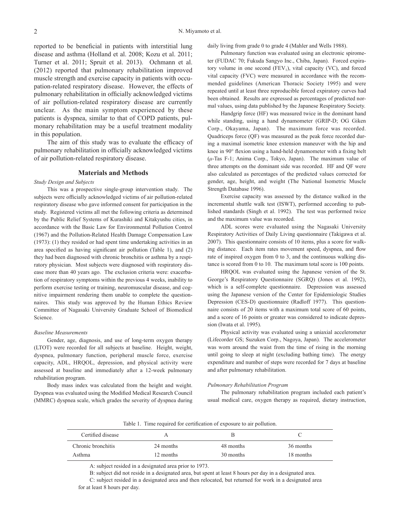reported to be beneficial in patients with interstitial lung disease and asthma (Holland et al. 2008; Kozu et al. 2011; Turner et al. 2011; Spruit et al. 2013). Ochmann et al. (2012) reported that pulmonary rehabilitation improved muscle strength and exercise capacity in patients with occupation-related respiratory disease. However, the effects of pulmonary rehabilitation in officially acknowledged victims of air pollution-related respiratory disease are currently unclear. As the main symptom experienced by these patients is dyspnea, similar to that of COPD patients, pulmonary rehabilitation may be a useful treatment modality in this population.

The aim of this study was to evaluate the efficacy of pulmonary rehabilitation in officially acknowledged victims of air pollution-related respiratory disease.

#### **Materials and Methods**

## *Study Design and Subjects*

This was a prospective single-group intervention study. The subjects were officially acknowledged victims of air pollution-related respiratory disease who gave informed consent for participation in the study. Registered victims all met the following criteria as determined by the Public Relief Systems of Kurashiki and Kitakyushu cities, in accordance with the Basic Law for Environmental Pollution Control (1967) and the Pollution-Related Health Damage Compensation Law (1973): (1) they resided or had spent time undertaking activities in an area specified as having significant air pollution (Table 1), and (2) they had been diagnosed with chronic bronchitis or asthma by a respiratory physician. Most subjects were diagnosed with respiratory disease more than 40 years ago. The exclusion criteria were: exacerbation of respiratory symptoms within the previous 4 weeks, inability to perform exercise testing or training, neuromuscular disease, and cognitive impairment rendering them unable to complete the questionnaires. This study was approved by the Human Ethics Review Committee of Nagasaki University Graduate School of Biomedical Science.

#### *Baseline Measurements*

Gender, age, diagnosis, and use of long-term oxygen therapy (LTOT) were recorded for all subjects at baseline. Height, weight, dyspnea, pulmonary function, peripheral muscle force, exercise capacity, ADL, HRQOL, depression, and physical activity were assessed at baseline and immediately after a 12-week pulmonary rehabilitation program.

Body mass index was calculated from the height and weight. Dyspnea was evaluated using the Modified Medical Research Council (MMRC) dyspnea scale, which grades the severity of dyspnea during daily living from grade 0 to grade 4 (Mahler and Wells 1988).

Pulmonary function was evaluated using an electronic spirometer (FUDAC 70; Fukuda Sangyo Inc., Chiba, Japan). Forced expiratory volume in one second  $(FEV_1)$ , vital capacity (VC), and forced vital capacity (FVC) were measured in accordance with the recommended guidelines (American Thoracic Society 1995) and were repeated until at least three reproducible forced expiratory curves had been obtained. Results are expressed as percentages of predicted normal values, using data published by the Japanese Respiratory Society.

Handgrip force (HF) was measured twice in the dominant hand while standing, using a hand dynamometer (GRIP-D; OG Giken Corp., Okayama, Japan). The maximum force was recorded. Quadriceps force (QF) was measured as the peak force recorded during a maximal isometric knee extension maneuver with the hip and knee in 90° flexion using a hand-held dynamometer with a fixing belt (*μ*-Tas F-1; Anima Corp., Tokyo, Japan). The maximum value of three attempts on the dominant side was recorded. HF and QF were also calculated as percentages of the predicted values corrected for gender, age, height, and weight (The National Isometric Muscle Strength Database 1996).

Exercise capacity was assessed by the distance walked in the incremental shuttle walk test (ISWT), performed according to published standards (Singh et al. 1992). The test was performed twice and the maximum value was recorded.

ADL scores were evaluated using the Nagasaki University Respiratory Activities of Daily Living questionnaire (Takigawa et al. 2007). This questionnaire consists of 10 items, plus a score for walking distance. Each item rates movement speed, dyspnea, and flow rate of inspired oxygen from 0 to 3, and the continuous walking distance is scored from 0 to 10. The maximum total score is 100 points.

HRQOL was evaluated using the Japanese version of the St. George's Respiratory Questionnaire (SGRQ) (Jones et al. 1992), which is a self-complete questionnaire. Depression was assessed using the Japanese version of the Center for Epidemiologic Studies Depression (CES-D) questionnaire (Radloff 1977). This questionnaire consists of 20 items with a maximum total score of 60 points, and a score of 16 points or greater was considered to indicate depression (Iwata et al. 1995).

Physical activity was evaluated using a uniaxial accelerometer (Lifecorder GS; Suzuken Corp., Nagoya, Japan). The accelerometer was worn around the waist from the time of rising in the morning until going to sleep at night (excluding bathing time). The energy expenditure and number of steps were recorded for 7 days at baseline and after pulmonary rehabilitation.

#### *Pulmonary Rehabilitation Program*

The pulmonary rehabilitation program included each patient's usual medical care, oxygen therapy as required, dietary instruction,

Table 1. Time required for certification of exposure to air pollution.

| Certified disease  |           |           |           |
|--------------------|-----------|-----------|-----------|
| Chronic bronchitis | 24 months | 48 months | 36 months |
| Asthma             | 12 months | 30 months | 18 months |

A: subject resided in a designated area prior to 1973.

B: subject did not reside in a designated area, but spent at least 8 hours per day in a designated area.

C: subject resided in a designated area and then relocated, but returned for work in a designated area for at least 8 hours per day.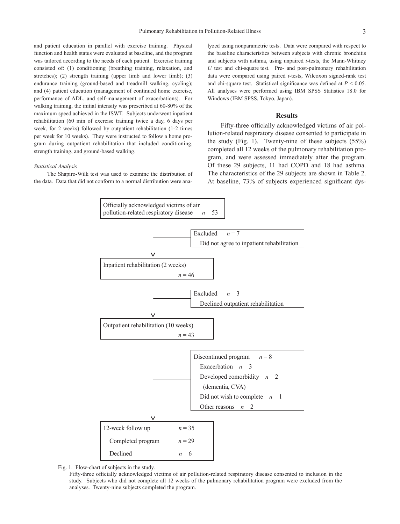and patient education in parallel with exercise training. Physical function and health status were evaluated at baseline, and the program was tailored according to the needs of each patient. Exercise training consisted of: (1) conditioning (breathing training, relaxation, and stretches); (2) strength training (upper limb and lower limb); (3) endurance training (ground-based and treadmill walking, cycling); and (4) patient education (management of continued home exercise, performance of ADL, and self-management of exacerbations). For walking training, the initial intensity was prescribed at 60-80% of the maximum speed achieved in the ISWT. Subjects underwent inpatient rehabilitation (60 min of exercise training twice a day, 6 days per week, for 2 weeks) followed by outpatient rehabilitation (1-2 times per week for 10 weeks). They were instructed to follow a home program during outpatient rehabilitation that included conditioning, strength training, and ground-based walking.

#### *Statistical Analysis*

The Shapiro-Wilk test was used to examine the distribution of the data. Data that did not conform to a normal distribution were analyzed using nonparametric tests. Data were compared with respect to the baseline characteristics between subjects with chronic bronchitis and subjects with asthma, using unpaired *t*-tests, the Mann-Whitney *U* test and chi-square test. Pre- and post-pulmonary rehabilitation data were compared using paired *t*-tests, Wilcoxon signed-rank test and chi-square test. Statistical significance was defined at  $P < 0.05$ . All analyses were performed using IBM SPSS Statistics 18.0 for Windows (IBM SPSS, Tokyo, Japan).

## **Results**

Fifty-three officially acknowledged victims of air pollution-related respiratory disease consented to participate in the study (Fig. 1). Twenty-nine of these subjects (55%) completed all 12 weeks of the pulmonary rehabilitation program, and were assessed immediately after the program. Of these 29 subjects, 11 had COPD and 18 had asthma. The characteristics of the 29 subjects are shown in Table 2. At baseline, 73% of subjects experienced significant dys-



Fig. 1. Flow-chart of subjects in the study.

Fifty-three officially acknowledged victims of air pollution-related respiratory disease consented to inclusion in the study. Subjects who did not complete all 12 weeks of the pulmonary rehabilitation program were excluded from the analyses. Twenty-nine subjects completed the program.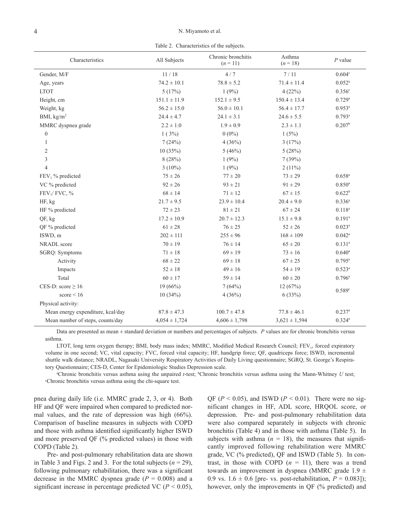Table 2. Characteristics of the subjects.

| Characteristics                   | All Subjects      | Chronic bronchitis<br>$(n = 11)$ | Asthma<br>$(n=18)$ | $P$ value            |  |
|-----------------------------------|-------------------|----------------------------------|--------------------|----------------------|--|
| Gender, M/F                       | 11/18             | 4/7                              | 7/11               | 0.604 <sup>c</sup>   |  |
| Age, years                        | $74.2 \pm 10.1$   | $78.8 \pm 5.2$                   | $71.4 \pm 11.4$    | $0.052^{\rm a}$      |  |
| <b>LTOT</b>                       | 5(17%)            | 1(9%)                            | 4(22%)             | 0.356c               |  |
| Height, cm                        | $151.1 \pm 11.9$  | $152.1 \pm 9.5$                  | $150.4 \pm 13.4$   | $0.729$ <sup>a</sup> |  |
| Weight, kg                        | $56.2 \pm 15.0$   | $56.0 \pm 10.1$                  | $56.4 \pm 17.7$    | $0.953^{a}$          |  |
| BMI, $\text{kg/m}^2$              | $24.4 \pm 4.7$    | $24.1 \pm 3.1$                   | $24.6 \pm 5.5$     | $0.793$ <sup>a</sup> |  |
| MMRC dyspnea grade                | $2.2 \pm 1.0$     | $1.9 \pm 0.9$                    | $2.3 \pm 1.1$      | $0.207^{\rm b}$      |  |
| $\boldsymbol{0}$                  | 1(3%)             | $0(0\%)$                         | 1(5%)              |                      |  |
| $\mathbf{1}$                      | 7(24%)            | 4(36%)                           | 3(17%)             |                      |  |
| $\mathbf{2}$                      | 10(35%)           | 5(46%)                           | 5(28%)             |                      |  |
| 3                                 | 8(28%)            | 1(9%)                            | 7(39%)             |                      |  |
| $\overline{4}$                    | $3(10\%)$         | 1(9%)                            | $2(11\%)$          |                      |  |
| $FEV1$ % predicted                | $75 \pm 26$       | $77 \pm 20$                      | $73 \pm 29$        | $0.658^{a}$          |  |
| VC % predicted                    | $92 \pm 26$       | $93 \pm 21$                      | $91 \pm 29$        | $0.850^{a}$          |  |
| FEV <sub>1</sub> /FVC, %          | $68 \pm 14$       | $71 \pm 12$                      | $67 \pm 15$        | $0.622^b$            |  |
| HF, kg                            | $21.7 \pm 9.5$    | $23.9 \pm 10.4$                  | $20.4 \pm 9.0$     | $0.336^{a}$          |  |
| HF % predicted                    | $72 \pm 23$       | $81\pm21$                        | $67 \pm 24$        | $0.118^{a}$          |  |
| QF, kg                            | $17.2 \pm 10.9$   | $20.7 \pm 12.3$                  | $15.1 \pm 9.8$     | $0.191^a$            |  |
| QF % predicted                    | $61 \pm 28$       | $76 \pm 25$                      | $52 \pm 26$        | $0.023^a$            |  |
| ISWD, m                           | $202 \pm 111$     | $255 \pm 96$                     | $168 \pm 109$      | $0.042^a$            |  |
| NRADL score                       | $70 \pm 19$       | $76 \pm 14$                      | $65 \pm 20$        | $0.131^{a}$          |  |
| SGRQ: Symptoms                    | $71 \pm 18$       | $69 \pm 19$                      | $73 \pm 16$        | $0.640^{\rm a}$      |  |
| Activity                          | $68\pm22$         | $69 \pm 18$                      | $67\pm25$          | $0.795^{\text{a}}$   |  |
| Impacts                           | $52 \pm 18$       | $49 \pm 16$                      | $54 \pm 19$        | $0.523^{\rm a}$      |  |
| Total                             | $60 \pm 17$       | $59 \pm 14$                      | $60 \pm 20$        | $0.796^{\rm a}$      |  |
| CES-D: score $\geq 16$            | 19(66%)           | 7(64%)                           | 12(67%)            |                      |  |
| score $\leq 16$                   | 10(34%)           | 4(36%)                           | 6(33%)             | 0.589°               |  |
| Physical activity:                |                   |                                  |                    |                      |  |
| Mean energy expenditure, kcal/day | $87.8 \pm 47.3$   | $100.7 \pm 47.8$                 | $77.8 \pm 46.1$    | $0.237$ <sup>a</sup> |  |
| Mean number of steps, counts/day  | $4,054 \pm 1,724$ | $4,606 \pm 1,798$                | $3,621 \pm 1,594$  | $0.324^{a}$          |  |

Data are presented as mean ± standard deviation or numbers and percentages of subjects. *P* values are for chronic bronchitis versus asthma.

LTOT, long term oxygen therapy; BMI, body mass index; MMRC, Modified Medical Research Council; FEV<sub>1</sub>, forced expiratory volume in one second; VC, vital capacity; FVC, forced vital capacity; HF, handgrip force; QF, quadriceps force; ISWD, incremental shuttle walk distance; NRADL, Nagasaki University Respiratory Activities of Daily Living questionnaire; SGRQ, St. George's Respiratory Questionnaire; CES-D, Center for Epidemiologic Studies Depression scale.

<sup>a</sup>Chronic bronchitis versus asthma using the unpaired *t*-test; <sup>b</sup>Chronic bronchitis versus asthma using the Mann-Whitney *U* test; chronic bronchitis versus asthma using the chi-square test Chronic bronchitis versus asthma using the chi-square test.

pnea during daily life (i.e. MMRC grade 2, 3, or 4). Both HF and QF were impaired when compared to predicted normal values, and the rate of depression was high (66%). Comparison of baseline measures in subjects with COPD and those with asthma identified significantly higher ISWD and more preserved QF (% predicted values) in those with COPD (Table 2).

Pre- and post-pulmonary rehabilitation data are shown in Table 3 and Figs. 2 and 3. For the total subjects  $(n = 29)$ , following pulmonary rehabilitation, there was a significant decrease in the MMRC dyspnea grade  $(P = 0.008)$  and a significant increase in percentage predicted VC ( $P < 0.05$ ), QF ( $P < 0.05$ ), and ISWD ( $P < 0.01$ ). There were no significant changes in HF, ADL score, HRQOL score, or depression. Pre- and post-pulmonary rehabilitation data were also compared separately in subjects with chronic bronchitis (Table 4) and in those with asthma (Table 5). In subjects with asthma  $(n = 18)$ , the measures that significantly improved following rehabilitation were MMRC grade, VC (% predicted), QF and ISWD (Table 5). In contrast, in those with COPD  $(n = 11)$ , there was a trend towards an improvement in dyspnea (MMRC grade  $1.9 \pm$ 0.9 vs.  $1.6 \pm 0.6$  [pre- vs. post-rehabilitation,  $P = 0.083$ ]); however, only the improvements in QF (% predicted) and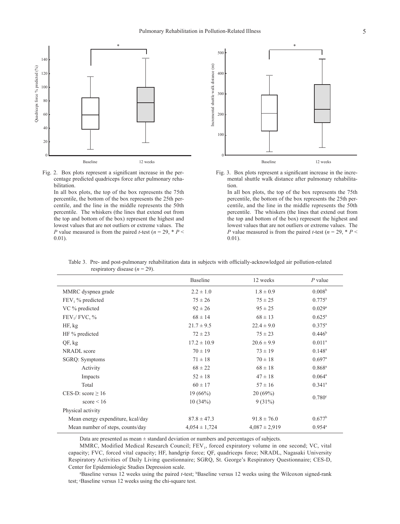



In all box plots, the top of the box represents the 75th percentile, the bottom of the box represents the 25th percentile, and the line in the middle represents the 50th percentile. The whiskers (the lines that extend out from the top and bottom of the box) represent the highest and lowest values that are not outliers or extreme values. The *P* value measured is from the paired *t*-test ( $n = 29$ ,  $* P <$ 0.01).



mental shuttle walk distance after pulmonary rehabilita-<br>tion Fig. 3. Box plots represent a significant increase in the incretion.

> In all box plots, the top of the box represents the 75th percentile, the bottom of the box represents the 25th percentile, and the line in the middle represents the 50th percentile. The whiskers (the lines that extend out from the top and bottom of the box) represent the highest and lowest values that are not outliers or extreme values. The *P* value measured is from the paired *t*-test ( $n = 29$ ,  $* P <$ 0.01).

|                                   | <b>Baseline</b>   | 12 weeks          | $P$ value            |  |
|-----------------------------------|-------------------|-------------------|----------------------|--|
| MMRC dyspnea grade                | $2.2 \pm 1.0$     | $1.8 \pm 0.9$     | 0.008 <sup>b</sup>   |  |
| $FEV1$ % predicted                | $75 \pm 26$       | $75 \pm 25$       | $0.775^{\rm a}$      |  |
| VC % predicted                    | $92 \pm 26$       | $95 \pm 25$       | $0.029^{\rm a}$      |  |
| FEV <sub>1</sub> /FVC, %          | $68 \pm 14$       | $68 \pm 13$       | $0.625^{\circ}$      |  |
| HF, kg                            | $21.7 \pm 9.5$    | $22.4 \pm 9.0$    | $0.375^{\rm a}$      |  |
| HF % predicted                    | $72 \pm 23$       | $75 \pm 23$       | $0.446^{\rm b}$      |  |
| QF, kg                            | $17.2 \pm 10.9$   | $20.6 \pm 9.9$    | $0.011^a$            |  |
| <b>NRADL</b> score                | $70 \pm 19$       | $73 \pm 19$       | $0.148^{\rm a}$      |  |
| SGRQ: Symptoms                    | $71 \pm 18$       | $70 \pm 18$       | $0.697$ <sup>a</sup> |  |
| Activity                          | $68 \pm 22$       | $68 \pm 18$       | $0.868^{\rm a}$      |  |
| Impacts                           | $52 \pm 18$       | $47 \pm 18$       | $0.064^{\rm a}$      |  |
| Total                             | $60 \pm 17$       | $57 \pm 16$       | $0.341^{\circ}$      |  |
| CES-D: score $\geq 16$            | 19(66%)           | 20(69%)           |                      |  |
| score $\leq 16$                   | 10(34%)           | $9(31\%)$         | 0.780 <sup>c</sup>   |  |
| Physical activity                 |                   |                   |                      |  |
| Mean energy expenditure, kcal/day | $87.8 \pm 47.3$   | $91.8 \pm 76.0$   | $0.677^{\rm b}$      |  |
| Mean number of steps, counts/day  | $4.054 \pm 1.724$ | $4,087 \pm 2,919$ | $0.954^{\circ}$      |  |

Table 3. Pre- and post-pulmonary rehabilitation data in subjects with officially-acknowledged air pollution-related respiratory disease  $(n = 29)$ .

Data are presented as mean ± standard deviation or numbers and percentages of subjects.

MMRC, Modified Medical Research Council; FEV<sub>1</sub>, forced expiratory volume in one second; VC, vital capacity; FVC, forced vital capacity; HF, handgrip force; QF, quadriceps force; NRADL, Nagasaki University Respiratory Activities of Daily Living questionnaire; SGRQ, St. George's Respiratory Questionnaire; CES-D, Center for Epidemiologic Studies Depression scale.

a Baseline versus 12 weeks using the paired *t*-test; bBaseline versus 12 weeks using the Wilcoxon signed-rank test; c Baseline versus 12 weeks using the chi-square test.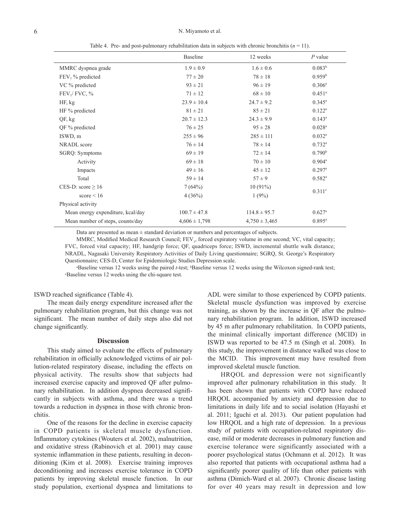|                                   | <b>Baseline</b>   | 12 weeks          | $P$ value            |  |
|-----------------------------------|-------------------|-------------------|----------------------|--|
| MMRC dyspnea grade                | $1.9 \pm 0.9$     | $1.6 \pm 0.6$     | $0.083^{b}$          |  |
| $FEV1$ % predicted                | $77 \pm 20$       | $78 \pm 18$       | $0.959^{\rm b}$      |  |
| VC % predicted                    | $93 \pm 21$       | $96 \pm 19$       | $0.306^{\rm a}$      |  |
| FEV <sub>1</sub> /FVC, %          | $71 \pm 12$       | $68 \pm 10$       | $0.451$ <sup>a</sup> |  |
| HF, kg                            | $23.9 \pm 10.4$   | $24.7 \pm 9.2$    | $0.345^{\circ}$      |  |
| HF % predicted                    | $81 \pm 21$       | $85 \pm 21$       | $0.122^{\rm a}$      |  |
| QF, kg                            | $20.7 \pm 12.3$   | $24.3 \pm 9.9$    | $0.143^a$            |  |
| $QF$ % predicted                  | $76 \pm 25$       | $95 \pm 28$       | $0.028$ <sup>a</sup> |  |
| ISWD, m                           | $255 \pm 96$      | $285 \pm 111$     | $0.032^{\rm a}$      |  |
| <b>NRADL</b> score                | $76 \pm 14$       | $78 \pm 14$       | $0.732^{\rm a}$      |  |
| SGRQ: Symptoms                    | $69 \pm 19$       | $72 \pm 14$       | 0.790 <sup>b</sup>   |  |
| Activity                          | $69 \pm 18$       | $70 \pm 10$       | $0.904^{\text{a}}$   |  |
| Impacts                           | $49 \pm 16$       | $45 \pm 12$       | $0.297$ <sup>a</sup> |  |
| Total                             | $59 \pm 14$       | $57 \pm 9$        | $0.582^{\rm a}$      |  |
| CES-D: score $\geq 16$            | 7(64%)            | $10(91\%)$        | $0.311$ <sup>c</sup> |  |
| score $\leq 16$                   | 4(36%)            | 1(9%)             |                      |  |
| Physical activity                 |                   |                   |                      |  |
| Mean energy expenditure, kcal/day | $100.7 \pm 47.8$  | $114.8 \pm 95.7$  | $0.627$ <sup>a</sup> |  |
| Mean number of steps, counts/day  | $4,606 \pm 1,798$ | $4,750 \pm 3,465$ | $0.895^{\rm a}$      |  |

Table 4. Pre- and post-pulmonary rehabilitation data in subjects with chronic bronchitis  $(n = 11)$ .

Data are presented as mean  $\pm$  standard deviation or numbers and percentages of subjects.

MMRC, Modified Medical Research Council; FEV<sub>1</sub>, forced expiratory volume in one second; VC, vital capacity; FVC, forced vital capacity; HF, handgrip force; QF, quadriceps force; ISWD, incremental shuttle walk distance; NRADL, Nagasaki University Respiratory Activities of Daily Living questionnaire; SGRQ, St. George's Respiratory Questionnaire; CES-D, Center for Epidemiologic Studies Depression scale.

a Baseline versus 12 weeks using the paired *<sup>t</sup>*-test; bBaseline versus 12 weeks using the Wilcoxon signed-rank test; c Baseline versus 12 weeks using the chi-square test.

## ISWD reached significance (Table 4).

The mean daily energy expenditure increased after the pulmonary rehabilitation program, but this change was not significant. The mean number of daily steps also did not change significantly.

## **Discussion**

This study aimed to evaluate the effects of pulmonary rehabilitation in officially acknowledged victims of air pollution-related respiratory disease, including the effects on physical activity. The results show that subjects had increased exercise capacity and improved QF after pulmonary rehabilitation. In addition dyspnea decreased significantly in subjects with asthma, and there was a trend towards a reduction in dyspnea in those with chronic bronchitis.

One of the reasons for the decline in exercise capacity in COPD patients is skeletal muscle dysfunction. Inflammatory cytokines (Wouters et al. 2002), malnutrition, and oxidative stress (Rabinovich et al. 2001) may cause systemic inflammation in these patients, resulting in deconditioning (Kim et al. 2008). Exercise training improves deconditioning and increases exercise tolerance in COPD patients by improving skeletal muscle function. In our study population, exertional dyspnea and limitations to ADL were similar to those experienced by COPD patients. Skeletal muscle dysfunction was improved by exercise training, as shown by the increase in QF after the pulmonary rehabilitation program. In addition, ISWD increased by 45 m after pulmonary rehabilitation. In COPD patients, the minimal clinically important difference (MCID) in ISWD was reported to be 47.5 m (Singh et al. 2008). In this study, the improvement in distance walked was close to the MCID. This improvement may have resulted from improved skeletal muscle function.

HRQOL and depression were not significantly improved after pulmonary rehabilitation in this study. It has been shown that patients with COPD have reduced HRQOL accompanied by anxiety and depression due to limitations in daily life and to social isolation (Hayashi et al. 2011; Iguchi et al. 2013). Our patient population had low HRQOL and a high rate of depression. In a previous study of patients with occupation-related respiratory disease, mild or moderate decreases in pulmonary function and exercise tolerance were significantly associated with a poorer psychological status (Ochmann et al. 2012). It was also reported that patients with occupational asthma had a significantly poorer quality of life than other patients with asthma (Dimich-Ward et al. 2007). Chronic disease lasting for over 40 years may result in depression and low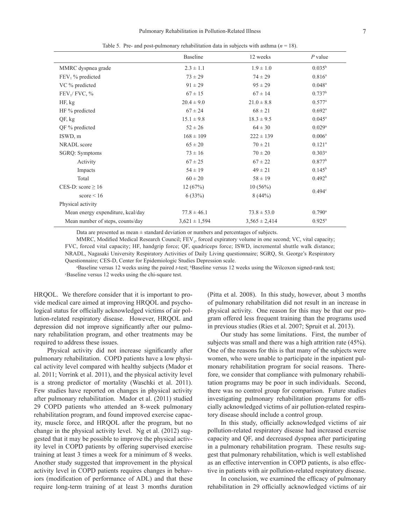|  | Table 5. Pre- and post-pulmonary rehabilitation data in subjects with asthma ( $n = 18$ ). |  |  |  |  |
|--|--------------------------------------------------------------------------------------------|--|--|--|--|
|--|--------------------------------------------------------------------------------------------|--|--|--|--|

|                                   | <b>Baseline</b>   | 12 weeks          | $P$ value            |  |
|-----------------------------------|-------------------|-------------------|----------------------|--|
| MMRC dyspnea grade                | $2.3 \pm 1.1$     | $1.9 \pm 1.0$     | $0.035^{\rm b}$      |  |
| $FEV1$ % predicted                | $73 \pm 29$       | $74 \pm 29$       | $0.816^a$            |  |
| VC % predicted                    | $91 \pm 29$       | $95 \pm 29$       | $0.048^{\rm a}$      |  |
| FEV <sub>1</sub> /FVC, %          | $67 \pm 15$       | $67 \pm 14$       | $0.737^b$            |  |
| HF, kg                            | $20.4 \pm 9.0$    | $21.0 \pm 8.8$    | $0.577^{\rm a}$      |  |
| HF % predicted                    | $67 \pm 24$       | $68 \pm 21$       | $0.692^{\rm a}$      |  |
| QF, kg                            | $15.1 \pm 9.8$    | $18.3 \pm 9.5$    | $0.045^{\circ}$      |  |
| QF % predicted                    | $52 \pm 26$       | $64 \pm 30$       | $0.029$ <sup>a</sup> |  |
| ISWD, m                           | $168 \pm 109$     | $222 \pm 139$     | $0.006^a$            |  |
| <b>NRADL</b> score                | $65 \pm 20$       | $70 \pm 21$       | $0.121$ <sup>a</sup> |  |
| SGRQ: Symptoms                    | $73 \pm 16$       | $70 \pm 20$       | $0.303^a$            |  |
| Activity                          | $67 \pm 25$       | $67 \pm 22$       | $0.877^b$            |  |
| Impacts                           | $54 \pm 19$       | $49 \pm 21$       | $0.145^{\rm b}$      |  |
| Total                             | $60 \pm 20$       | $58 \pm 19$       | 0.492 <sup>b</sup>   |  |
| CES-D: score $\geq 16$            | 12(67%)           | 10(56%)           |                      |  |
| score $\leq 16$                   | 6(33%)            | 8(44%)            | $0.494^{\circ}$      |  |
| Physical activity                 |                   |                   |                      |  |
| Mean energy expenditure, kcal/day | $77.8 \pm 46.1$   | $73.8 \pm 53.0$   | $0.790^{\rm a}$      |  |
| Mean number of steps, counts/day  | $3,621 \pm 1,594$ | $3,565 \pm 2,414$ | $0.925^{\rm a}$      |  |

Data are presented as mean  $\pm$  standard deviation or numbers and percentages of subjects.

MMRC, Modified Medical Research Council; FEV<sub>1</sub>, forced expiratory volume in one second; VC, vital capacity; FVC, forced vital capacity; HF, handgrip force; QF, quadriceps force; ISWD, incremental shuttle walk distance; NRADL, Nagasaki University Respiratory Activities of Daily Living questionnaire; SGRQ, St. George's Respiratory Questionnaire; CES-D, Center for Epidemiologic Studies Depression scale.

a Baseline versus 12 weeks using the paired *<sup>t</sup>*-test; bBaseline versus 12 weeks using the Wilcoxon signed-rank test; c Baseline versus 12 weeks using the chi-square test.

HRQOL. We therefore consider that it is important to provide medical care aimed at improving HRQOL and psychological status for officially acknowledged victims of air pollution-related respiratory disease. However, HRQOL and depression did not improve significantly after our pulmonary rehabilitation program, and other treatments may be required to address these issues.

Physical activity did not increase significantly after pulmonary rehabilitation. COPD patients have a low physical activity level compared with healthy subjects (Mador et al. 2011; Vorrink et al. 2011), and the physical activity level is a strong predictor of mortality (Waschki et al. 2011). Few studies have reported on changes in physical activity after pulmonary rehabilitation. Mador et al. (2011) studied 29 COPD patients who attended an 8-week pulmonary rehabilitation program, and found improved exercise capacity, muscle force, and HRQOL after the program, but no change in the physical activity level. Ng et al. (2012) suggested that it may be possible to improve the physical activity level in COPD patients by offering supervised exercise training at least 3 times a week for a minimum of 8 weeks. Another study suggested that improvement in the physical activity level in COPD patients requires changes in behaviors (modification of performance of ADL) and that these require long-term training of at least 3 months duration (Pitta et al. 2008). In this study, however, about 3 months of pulmonary rehabilitation did not result in an increase in physical activity. One reason for this may be that our program offered less frequent training than the programs used in previous studies (Ries et al. 2007; Spruit et al. 2013).

Our study has some limitations. First, the number of subjects was small and there was a high attrition rate (45%). One of the reasons for this is that many of the subjects were women, who were unable to participate in the inpatient pulmonary rehabilitation program for social reasons. Therefore, we consider that compliance with pulmonary rehabilitation programs may be poor in such individuals. Second, there was no control group for comparison. Future studies investigating pulmonary rehabilitation programs for officially acknowledged victims of air pollution-related respiratory disease should include a control group.

In this study, officially acknowledged victims of air pollution-related respiratory disease had increased exercise capacity and QF, and decreased dyspnea after participating in a pulmonary rehabilitation program. These results suggest that pulmonary rehabilitation, which is well established as an effective intervention in COPD patients, is also effective in patients with air pollution-related respiratory disease.

In conclusion, we examined the efficacy of pulmonary rehabilitation in 29 officially acknowledged victims of air